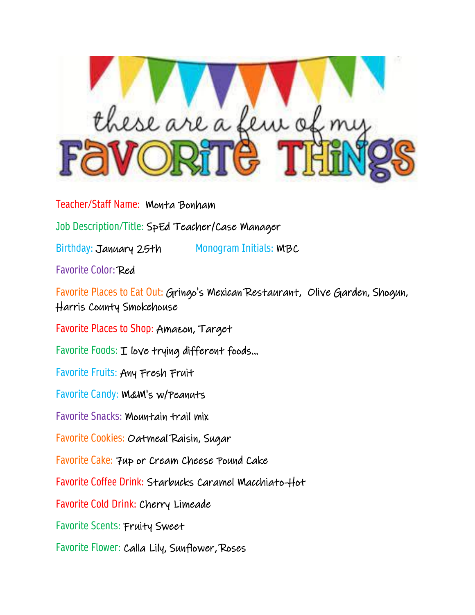

Teacher/Staff Name: Monta Bonham

Job Description/Title: SpEd Teacher/Case Manager

Birthday: January 25th Monogram Initials: MBC

Favorite Color: Red

Favorite Places to Eat Out: Gringo's Mexican Restaurant, Olive Garden, Shogun, Harris County Smokehouse

Favorite Places to Shop: Amazon, Target

Favorite Foods: I love trying different foods...

Favorite Fruits: Any Fresh Fruit

Favorite Candy: M&M's w/Peanuts

Favorite Snacks: Mountain trail mix

Favorite Cookies: Oatmeal Raisin, Sugar

Favorite Cake: 7up or Cream Cheese Pound Cake

Favorite Coffee Drink: Starbucks Caramel Macchiato-Hot

Favorite Cold Drink: Cherry Limeade

Favorite Scents: Fruity Sweet

Favorite Flower: Calla Lily, Sunflower, Roses